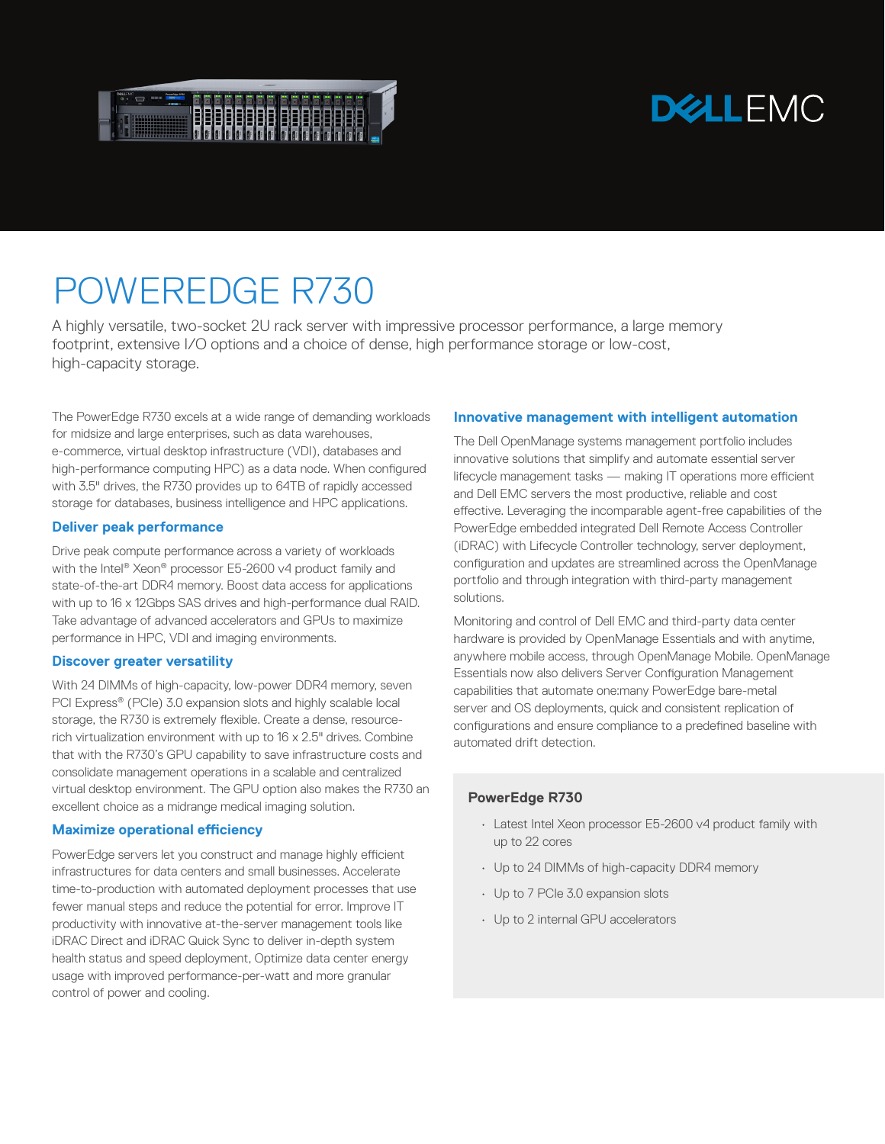

# **DELLEMC**

# POWEREDGE R730

A highly versatile, two-socket 2U rack server with impressive processor performance, a large memory footprint, extensive I/O options and a choice of dense, high performance storage or low-cost, high-capacity storage.

The PowerEdge R730 excels at a wide range of demanding workloads for midsize and large enterprises, such as data warehouses, e-commerce, virtual desktop infrastructure (VDI), databases and high-performance computing HPC) as a data node. When configured with 3.5" drives, the R730 provides up to 64TB of rapidly accessed storage for databases, business intelligence and HPC applications.

## **Deliver peak performance**

Drive peak compute performance across a variety of workloads with the Intel® Xeon® processor E5-2600 v4 product family and state-of-the-art DDR4 memory. Boost data access for applications with up to 16 x 12Gbps SAS drives and high-performance dual RAID. Take advantage of advanced accelerators and GPUs to maximize performance in HPC, VDI and imaging environments.

#### **Discover greater versatility**

With 24 DIMMs of high-capacity, low-power DDR4 memory, seven PCI Express® (PCIe) 3.0 expansion slots and highly scalable local storage, the R730 is extremely flexible. Create a dense, resourcerich virtualization environment with up to 16 x 2.5" drives. Combine that with the R730's GPU capability to save infrastructure costs and consolidate management operations in a scalable and centralized virtual desktop environment. The GPU option also makes the R730 an excellent choice as a midrange medical imaging solution.

#### **Maximize operational efficiency**

PowerEdge servers let you construct and manage highly efficient infrastructures for data centers and small businesses. Accelerate time-to-production with automated deployment processes that use fewer manual steps and reduce the potential for error. Improve IT productivity with innovative at-the-server management tools like iDRAC Direct and iDRAC Quick Sync to deliver in-depth system health status and speed deployment, Optimize data center energy usage with improved performance-per-watt and more granular control of power and cooling.

### **Innovative management with intelligent automation**

The Dell OpenManage systems management portfolio includes innovative solutions that simplify and automate essential server lifecycle management tasks — making IT operations more efficient and Dell EMC servers the most productive, reliable and cost effective. Leveraging the incomparable agent-free capabilities of the PowerEdge embedded integrated Dell Remote Access Controller (iDRAC) with Lifecycle Controller technology, server deployment, configuration and updates are streamlined across the OpenManage portfolio and through integration with third-party management solutions.

Monitoring and control of Dell EMC and third-party data center hardware is provided by OpenManage Essentials and with anytime, anywhere mobile access, through OpenManage Mobile. OpenManage Essentials now also delivers Server Configuration Management capabilities that automate one:many PowerEdge bare-metal server and OS deployments, quick and consistent replication of configurations and ensure compliance to a predefined baseline with automated drift detection.

#### **PowerEdge R730**

- Latest Intel Xeon processor E5-2600 v4 product family with up to 22 cores
- Up to 24 DIMMs of high-capacity DDR4 memory
- Up to 7 PCIe 3.0 expansion slots
- Up to 2 internal GPU accelerators